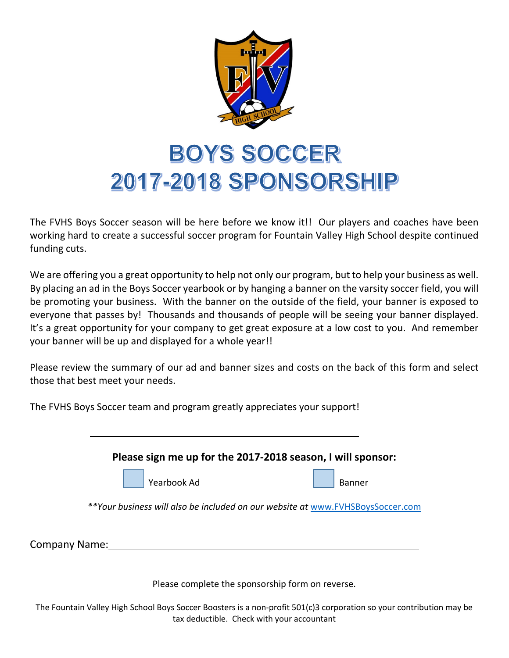

## **BOYS SOCCER 2017-2018 SPONSORSHIP**

The FVHS Boys Soccer season will be here before we know it!! Our players and coaches have been working hard to create a successful soccer program for Fountain Valley High School despite continued funding cuts.

We are offering you a great opportunity to help not only our program, but to help your business as well. By placing an ad in the Boys Soccer yearbook or by hanging a banner on the varsity soccer field, you will be promoting your business. With the banner on the outside of the field, your banner is exposed to everyone that passes by! Thousands and thousands of people will be seeing your banner displayed. It's a great opportunity for your company to get great exposure at a low cost to you. And remember your banner will be up and displayed for a whole year!!

Please review the summary of our ad and banner sizes and costs on the back of this form and select those that best meet your needs.

The FVHS Boys Soccer team and program greatly appreciates your support!

|               | Please sign me up for the 2017-2018 season, I will sponsor:                     |                                                  |               |
|---------------|---------------------------------------------------------------------------------|--------------------------------------------------|---------------|
|               | Yearbook Ad                                                                     |                                                  | <b>Banner</b> |
|               | ** Your business will also be included on our website at www.FVHSBoysSoccer.com |                                                  |               |
| Company Name: |                                                                                 |                                                  |               |
|               |                                                                                 | Please complete the sponsorship form on reverse. |               |

The Fountain Valley High School Boys Soccer Boosters is a non-profit 501(c)3 corporation so your contribution may be tax deductible. Check with your accountant